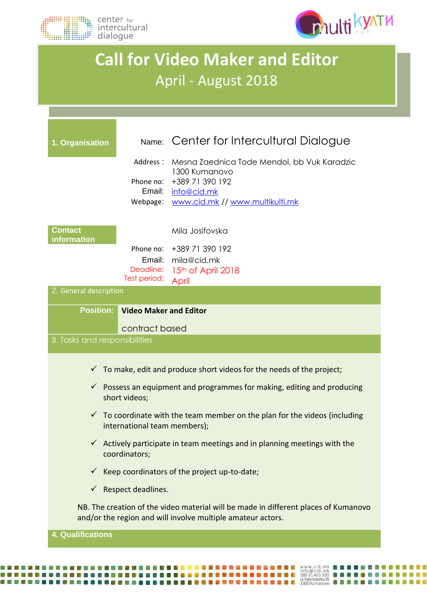



## **Call for Video Maker and Editor** April - August 2018

| 1. Organisation               |                               | Name: Center for Intercultural Dialogue                                                                                                            |  |
|-------------------------------|-------------------------------|----------------------------------------------------------------------------------------------------------------------------------------------------|--|
|                               | Address:                      | Mesna Zaednica Tode Mendol, bb Vuk Karadzic<br>1300 Kumanovo                                                                                       |  |
|                               | Phone no:<br>Email:           | +389 71 390 192<br>info@cid.mk                                                                                                                     |  |
|                               | Webpage:                      | www.cid.mk // www.multikulti.mk                                                                                                                    |  |
| <b>Contact</b><br>information |                               | Mila Josifovska                                                                                                                                    |  |
|                               | Phone no:                     | +389 71 390 192                                                                                                                                    |  |
|                               | Email:<br>Deadline:           | mila@cid.mk<br>15th of April 2018                                                                                                                  |  |
|                               | Test period:                  | April                                                                                                                                              |  |
| 2. General description        |                               |                                                                                                                                                    |  |
| <b>Position:</b>              | <b>Video Maker and Editor</b> |                                                                                                                                                    |  |
|                               | contract based                |                                                                                                                                                    |  |
| 3. Tasks and responsibilities |                               |                                                                                                                                                    |  |
|                               |                               |                                                                                                                                                    |  |
|                               |                               | To make, edit and produce short videos for the needs of the project;                                                                               |  |
|                               | short videos;                 | $\checkmark$ Possess an equipment and programmes for making, editing and producing                                                                 |  |
|                               | international team members);  | $\checkmark$ To coordinate with the team member on the plan for the videos (including                                                              |  |
|                               | coordinators;                 | $\checkmark$ Actively participate in team meetings and in planning meetings with the                                                               |  |
|                               |                               | $\checkmark$ Keep coordinators of the project up-to-date;                                                                                          |  |
| $\checkmark$                  | Respect deadlines.            |                                                                                                                                                    |  |
|                               |                               | NB. The creation of the video material will be made in different places of Kumanovo<br>and/or the region and will involve multiple amateur actors. |  |

WEBHADELLADELLADELLADER ET ELLE PRESERVERE SER EN MANUSCIAL MENDELLADER EN ELLE PRESERVERE EN ELLE PRESERVEREN<br>2009 - Le present de la proposition de la present de la present de la present de la present de la present de<br>20